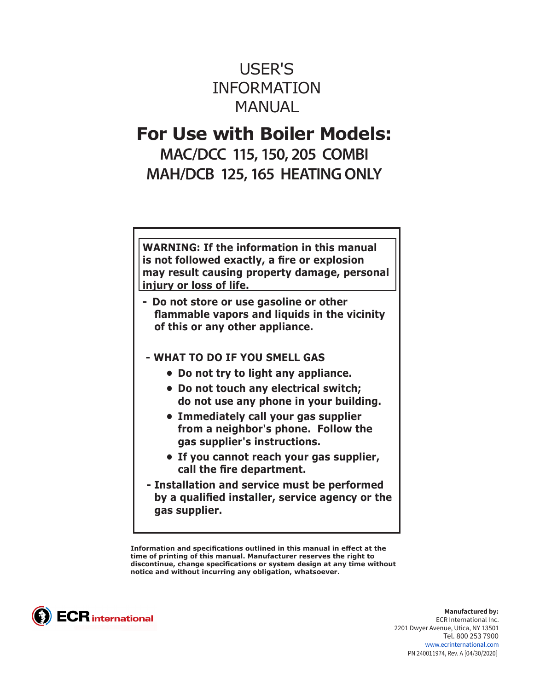# USER'S INFORMATION **MANUAL**

# **For Use with Boiler Models:**

**MAC/DCC 115, 150, 205 COMBI MAH/DCB 125, 165 HEATING ONLY**

**WARNING: If the information in this manual is not followed exactly, a fire or explosion may result causing property damage, personal injury or loss of life.**

- **Do not store or use gasoline or other flammable vapors and liquids in the vicinity of this or any other appliance.**
- **WHAT TO DO IF YOU SMELL GAS** 
	- **• Do not try to light any appliance.**
	- **• Do not touch any electrical switch; do not use any phone in your building.**
	- **• Immediately call your gas supplier from a neighbor's phone. Follow the gas supplier's instructions.**
	- **• If you cannot reach your gas supplier, call the fire department.**
- **Installation and service must be performed by a qualified installer, service agency or the gas supplier.**

**Information and specifications outlined in this manual in effect at the time of printing of this manual. Manufacturer reserves the right to discontinue, change specifications or system design at any time without notice and without incurring any obligation, whatsoever.**



**Manufactured by:** ECR International Inc. 2201 Dwyer Avenue, Utica, NY 13501 Tel. 800 253 7900 www.ecrinternational.com PN 240011974, Rev. A [04/30/2020]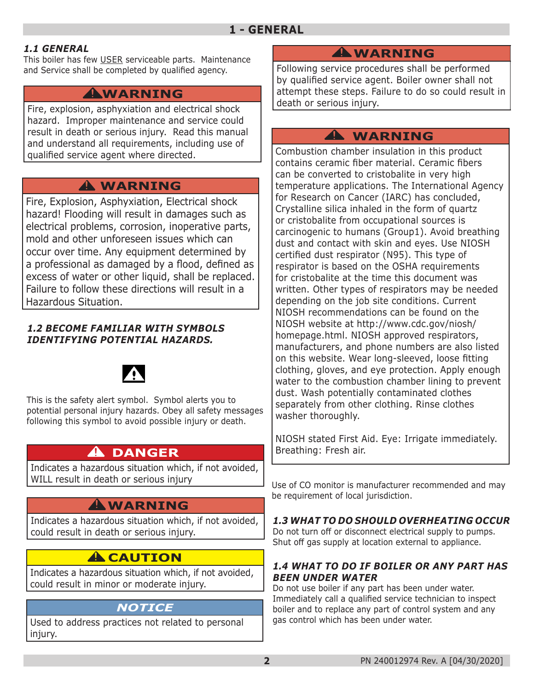#### *1.1 GENERAL*

This boiler has few USER serviceable parts. Maintenance and Service shall be completed by qualified agency.

# **WARNING !**

Fire, explosion, asphyxiation and electrical shock hazard. Improper maintenance and service could result in death or serious injury. Read this manual and understand all requirements, including use of qualified service agent where directed.

# **WARNING !**

Fire, Explosion, Asphyxiation, Electrical shock hazard! Flooding will result in damages such as electrical problems, corrosion, inoperative parts, mold and other unforeseen issues which can occur over time. Any equipment determined by a professional as damaged by a flood, defined as excess of water or other liquid, shall be replaced. Failure to follow these directions will result in a Hazardous Situation.

#### *1.2 BECOME FAMILIAR WITH SYMBOLS IDENTIFYING POTENTIAL HAZARDS.*



This is the safety alert symbol. Symbol alerts you to potential personal injury hazards. Obey all safety messages following this symbol to avoid possible injury or death.

# **DANGER !**

Indicates a hazardous situation which, if not avoided, WILL result in death or serious injury

# **WARNING !**

Indicates a hazardous situation which, if not avoided, could result in death or serious injury.

# **A** CAUTION

Indicates a hazardous situation which, if not avoided, could result in minor or moderate injury.

## *NOTICE*

Used to address practices not related to personal injury.

# **WARNING !**

Following service procedures shall be performed by qualified service agent. Boiler owner shall not attempt these steps. Failure to do so could result in death or serious injury.

# **WARNING !**

Combustion chamber insulation in this product contains ceramic fiber material. Ceramic fibers can be converted to cristobalite in very high temperature applications. The International Agency for Research on Cancer (IARC) has concluded, Crystalline silica inhaled in the form of quartz or cristobalite from occupational sources is carcinogenic to humans (Group1). Avoid breathing dust and contact with skin and eyes. Use NIOSH certified dust respirator (N95). This type of respirator is based on the OSHA requirements for cristobalite at the time this document was written. Other types of respirators may be needed depending on the job site conditions. Current NIOSH recommendations can be found on the NIOSH website at http://www.cdc.gov/niosh/ homepage.html. NIOSH approved respirators, manufacturers, and phone numbers are also listed on this website. Wear long-sleeved, loose fitting clothing, gloves, and eye protection. Apply enough water to the combustion chamber lining to prevent dust. Wash potentially contaminated clothes separately from other clothing. Rinse clothes washer thoroughly.

NIOSH stated First Aid. Eye: Irrigate immediately. Breathing: Fresh air.

Use of CO monitor is manufacturer recommended and may be requirement of local jurisdiction.

#### *1.3 WHAT TO DO SHOULD OVERHEATING OCCUR*

Do not turn off or disconnect electrical supply to pumps. Shut off gas supply at location external to appliance.

#### *1.4 WHAT TO DO IF BOILER OR ANY PART HAS BEEN UNDER WATER*

Do not use boiler if any part has been under water. Immediately call a qualified service technician to inspect boiler and to replace any part of control system and any gas control which has been under water.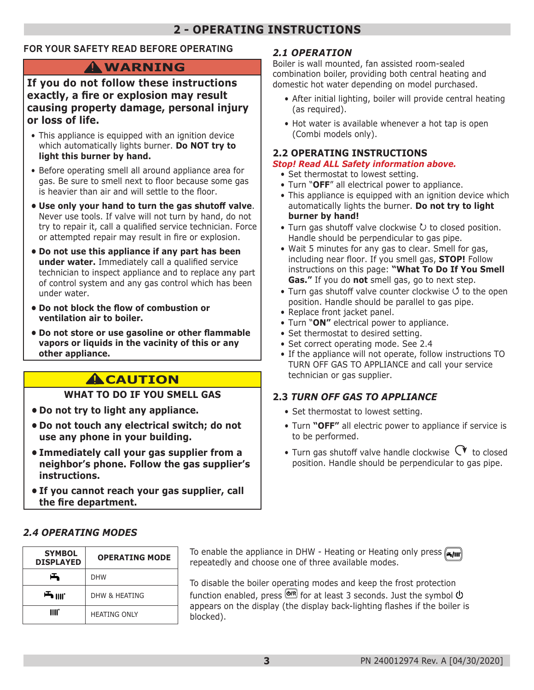# **2 - OPERATING INSTRUCTIONS**

#### **FOR YOUR SAFETY READ BEFORE OPERATING**

# **WARNING !**

#### **If you do not follow these instructions exactly, a fire or explosion may result causing property damage, personal injury or loss of life.**

- This appliance is equipped with an ignition device which automatically lights burner. **Do NOT try to light this burner by hand.**
- Before operating smell all around appliance area for gas. Be sure to smell next to floor because some gas is heavier than air and will settle to the floor.
- **• Use only your hand to turn the gas shutoff valve**. Never use tools. If valve will not turn by hand, do not try to repair it, call a qualified service technician. Force or attempted repair may result in fire or explosion.
- **• Do not use this appliance if any part has been under water.** Immediately call a qualified service technician to inspect appliance and to replace any part of control system and any gas control which has been under water.
- **• Do not block the flow of combustion or ventilation air to boiler.**
- **• Do not store or use gasoline or other flammable vapors or liquids in the vacinity of this or any other appliance.**

# **A**CAUTION

#### **WHAT TO DO IF YOU SMELL GAS**

- **• Do not try to light any appliance.**
- **• Do not touch any electrical switch; do not use any phone in your building.**
- **• Immediately call your gas supplier from a neighbor's phone. Follow the gas supplier's instructions.**
- **• If you cannot reach your gas supplier, call the fire department.**

#### *2.1 OPERATION*

Boiler is wall mounted, fan assisted room-sealed combination boiler, providing both central heating and domestic hot water depending on model purchased.

- After initial lighting, boiler will provide central heating (as required).
- Hot water is available whenever a hot tap is open (Combi models only).

#### **2.2 OPERATING INSTRUCTIONS**

#### *Stop! Read ALL Safety information above.*

- Set thermostat to lowest setting.
- Turn "**OFF**" all electrical power to appliance.
- This appliance is equipped with an ignition device which automatically lights the burner. **Do not try to light burner by hand!**
- Turn gas shutoff valve clockwise  $U$  to closed position. Handle should be perpendicular to gas pipe.
- Wait 5 minutes for any gas to clear. Smell for gas, including near floor. If you smell gas, **STOP!** Follow instructions on this page: **"What To Do If You Smell Gas."** If you do **not** smell gas, go to next step.
- Turn gas shutoff valve counter clockwise  $\circ$  to the open position. Handle should be parallel to gas pipe.
- Replace front jacket panel.
- Turn "**ON"** electrical power to appliance.
- Set thermostat to desired setting.
- Set correct operating mode. See 2.4
- If the appliance will not operate, follow instructions TO TURN OFF GAS TO APPLIANCE and call your service technician or gas supplier.

#### **2.3** *TURN OFF GAS TO APPLIANCE*

- Set thermostat to lowest setting.
- Turn **"OFF"** all electric power to appliance if service is to be performed.
- Turn gas shutoff valve handle clockwise  $\alpha$  to closed position. Handle should be perpendicular to gas pipe.

#### *2.4 OPERATING MODES*

| <b>SYMBOL</b><br><b>DISPLAYED</b> | <b>OPERATING MODE</b> |
|-----------------------------------|-----------------------|
| 凸                                 | <b>DHW</b>            |
| 一 Ⅲ                               | DHW & HFATING         |
| IIII.                             | <b>HEATING ONLY</b>   |

**To enable the appliance in DHW - Heating or Heating only press**  $\left($ repeatedly and choose one of three available modes.

To disable the boiler operating modes and keep the frost protection function enabled, press  $\circledast$  for at least 3 seconds. Just the symbol  $\circledast$ appears on the display (the display back-lighting flashes if the boiler is blocked).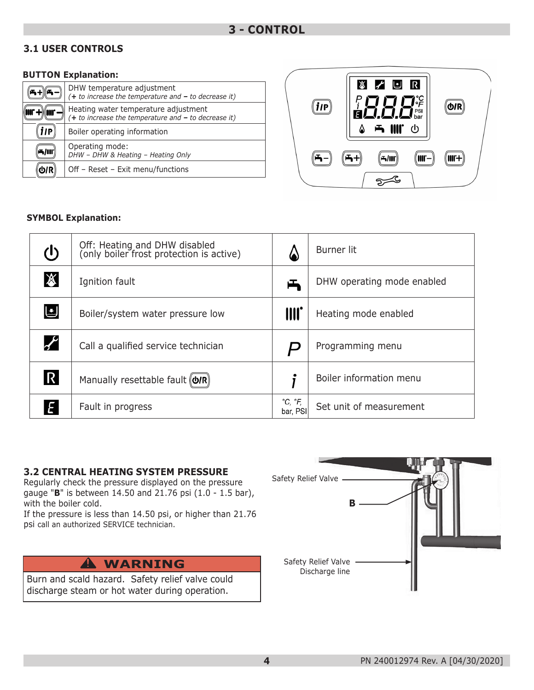#### **3.1 USER CONTROLS**

#### **BUTTON Explanation:**

|     | DHW temperature adjustment<br>$(+ to increase the temperature and - to decrease it)$           |
|-----|------------------------------------------------------------------------------------------------|
|     | Heating water temperature adjustment<br>$(+ to increase the temperature and - to decrease it)$ |
| 11P | Boiler operating information                                                                   |
|     | Operating mode:<br>DHW - DHW & Heating - Heating Only                                          |
|     | Off - Reset - Exit menu/functions                                                              |



#### **SYMBOL Explanation:**

| $\mathcal{L}$         | Off: Heating and DHW disabled<br>(only boiler frost protection is active) |                                     | Burner lit                 |
|-----------------------|---------------------------------------------------------------------------|-------------------------------------|----------------------------|
| $\cancel{\mathbb{X}}$ | Ignition fault                                                            | 凸                                   | DHW operating mode enabled |
| リ                     | Boiler/system water pressure low                                          | III.                                | Heating mode enabled       |
| $\boldsymbol{r}$      | Call a qualified service technician                                       |                                     | Programming menu           |
| $\mathsf R$           | Manually resettable fault (O/R)                                           |                                     | Boiler information menu    |
| E                     | Fault in progress                                                         | $^{\circ}C, ^{\circ}F,$<br>bar, PSI | Set unit of measurement    |

#### **3.2 CENTRAL HEATING SYSTEM PRESSURE**

Regularly check the pressure displayed on the pressure gauge "**B**" is between 14.50 and 21.76 psi (1.0 - 1.5 bar), with the boiler cold.

If the pressure is less than 14.50 psi, or higher than 21.76 psi call an authorized SERVICE technician.

Burn and scald hazard. Safety relief valve could discharge steam or hot water during operation.

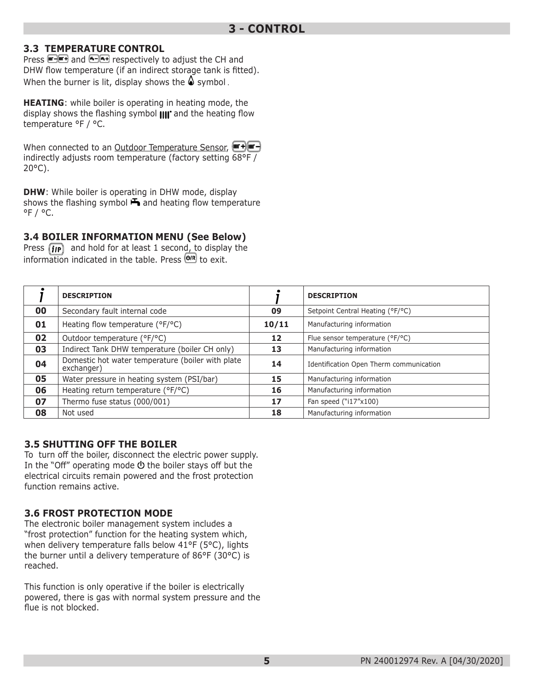#### **3.3 TEMPERATURE CONTROL**

Press **and and 6-6+** respectively to adjust the CH and DHW flow temperature (if an indirect storage tank is fitted). When the burner is lit, display shows the  $\triangle$  symbol.

**HEATING**: while boiler is operating in heating mode, the display shows the flashing symbol  $\text{III}^*$  and the heating flow temperature °F / °C.

When connected to an Outdoor Temperature Sensor, (Form +) (The H) indirectly adjusts room temperature (factory setting 68°F / 20°C).

**DHW**: While boiler is operating in DHW mode, display shows the flashing symbol  $\blacktriangleright$  and heating flow temperature  $^{\circ}$ F /  $^{\circ}$ C.

#### **3.4 BOILER INFORMATION MENU (See Below)**

Press  $\left(\mathbf{i}\mathbf{p}\right)$  and hold for at least 1 second, to display the information indicated in the table. Press  $\overline{\text{Q/R}}$  to exit.

|    | <b>DESCRIPTION</b>                                              |       | <b>DESCRIPTION</b>                      |
|----|-----------------------------------------------------------------|-------|-----------------------------------------|
| 00 | Secondary fault internal code                                   | 09    | Setpoint Central Heating (°F/°C)        |
| 01 | Heating flow temperature (°F/°C)                                | 10/11 | Manufacturing information               |
| 02 | Outdoor temperature (°F/°C)                                     | 12    | Flue sensor temperature (°F/°C)         |
| 03 | Indirect Tank DHW temperature (boiler CH only)                  | 13    | Manufacturing information               |
| 04 | Domestic hot water temperature (boiler with plate<br>exchanger) | 14    | Identification Open Therm communication |
| 05 | Water pressure in heating system (PSI/bar)                      | 15    | Manufacturing information               |
| 06 | Heating return temperature (°F/°C)                              | 16    | Manufacturing information               |
| 07 | Thermo fuse status (000/001)                                    | 17    | Fan speed ("i17"x100)                   |
| 08 | Not used                                                        | 18    | Manufacturing information               |

#### **3.5 SHUTTING OFF THE BOILER**

To turn off the boiler, disconnect the electric power supply. In the "Off" operating mode  $\Phi$  the boiler stays off but the electrical circuits remain powered and the frost protection function remains active.

#### **3.6 FROST PROTECTION MODE**

The electronic boiler management system includes a "frost protection" function for the heating system which, when delivery temperature falls below 41°F (5°C), lights the burner until a delivery temperature of 86°F (30°C) is reached.

This function is only operative if the boiler is electrically powered, there is gas with normal system pressure and the flue is not blocked.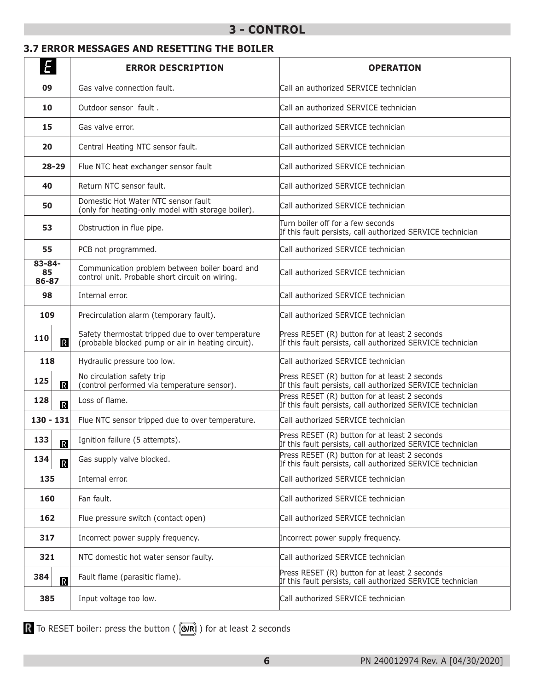### **3 - CONTROL**

#### **3.7 ERROR MESSAGES AND RESETTING THE BOILER**

| Ε                              | <b>ERROR DESCRIPTION</b>                                                                                | <b>OPERATION</b>                                                                                            |
|--------------------------------|---------------------------------------------------------------------------------------------------------|-------------------------------------------------------------------------------------------------------------|
| 09                             | Gas valve connection fault.                                                                             | Call an authorized SERVICE technician                                                                       |
| 10                             | Outdoor sensor fault.                                                                                   | Call an authorized SERVICE technician                                                                       |
| 15                             | Gas valve error.                                                                                        | Call authorized SERVICE technician                                                                          |
| 20                             | Central Heating NTC sensor fault.                                                                       | Call authorized SERVICE technician                                                                          |
| $28 - 29$                      | Flue NTC heat exchanger sensor fault                                                                    | Call authorized SERVICE technician                                                                          |
| 40                             | Return NTC sensor fault.                                                                                | Call authorized SERVICE technician                                                                          |
| 50                             | Domestic Hot Water NTC sensor fault<br>(only for heating-only model with storage boiler).               | Call authorized SERVICE technician                                                                          |
| 53                             | Obstruction in flue pipe.                                                                               | Turn boiler off for a few seconds<br>If this fault persists, call authorized SERVICE technician             |
| 55                             | PCB not programmed.                                                                                     | Call authorized SERVICE technician                                                                          |
| $83 - 84 -$<br>85<br>86-87     | Communication problem between boiler board and<br>control unit. Probable short circuit on wiring.       | Call authorized SERVICE technician                                                                          |
| 98                             | Internal error.                                                                                         | Call authorized SERVICE technician                                                                          |
| 109                            | Precirculation alarm (temporary fault).                                                                 | Call authorized SERVICE technician                                                                          |
| 110<br>$\mathbb{R}$            | Safety thermostat tripped due to over temperature<br>(probable blocked pump or air in heating circuit). | Press RESET (R) button for at least 2 seconds<br>If this fault persists, call authorized SERVICE technician |
| 118                            | Hydraulic pressure too low.                                                                             | Call authorized SERVICE technician                                                                          |
| 125<br>$\mathbb R$             | No circulation safety trip<br>(control performed via temperature sensor).                               | Press RESET (R) button for at least 2 seconds<br>If this fault persists, call authorized SERVICE technician |
| 128<br>$\overline{R}$          | Loss of flame.                                                                                          | Press RESET (R) button for at least 2 seconds<br>If this fault persists, call authorized SERVICE technician |
| $130 - 131$                    | Flue NTC sensor tripped due to over temperature.                                                        | Call authorized SERVICE technician                                                                          |
| 133<br>$\overline{\mathbb{R}}$ | Ignition failure (5 attempts).                                                                          | Press RESET (R) button for at least 2 seconds<br>If this fault persists, call authorized SERVICE technician |
| 134<br>$\overline{\mathbb{R}}$ | Gas supply valve blocked.                                                                               | Press RESET (R) button for at least 2 seconds<br>If this fault persists, call authorized SERVICE technician |
| 135                            | Internal error.                                                                                         | Call authorized SERVICE technician                                                                          |
| 160                            | Fan fault.                                                                                              | Call authorized SERVICE technician                                                                          |
| 162                            | Flue pressure switch (contact open)                                                                     | Call authorized SERVICE technician                                                                          |
| 317                            | Incorrect power supply frequency.                                                                       | Incorrect power supply frequency.                                                                           |
| 321                            | NTC domestic hot water sensor faulty.                                                                   | Call authorized SERVICE technician                                                                          |
| 384<br>$\overline{\mathbb{R}}$ | Fault flame (parasitic flame).                                                                          | Press RESET (R) button for at least 2 seconds<br>If this fault persists, call authorized SERVICE technician |
| 385                            | Input voltage too low.                                                                                  | Call authorized SERVICE technician                                                                          |

To RESET boiler: press the button ( $($   $\circledR$ ) for at least 2 seconds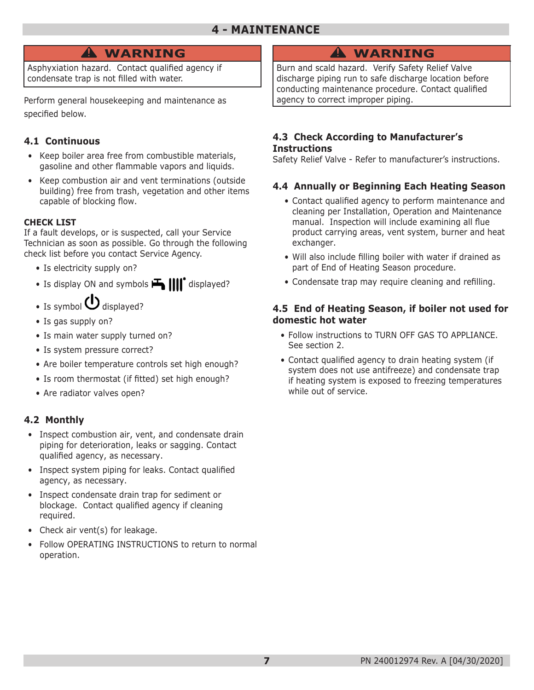## **4 - MAINTENANCE**

# **WARNING !**

Asphyxiation hazard. Contact qualified agency if condensate trap is not filled with water.

Perform general housekeeping and maintenance as specified below.

#### **4.1 Continuous**

- Keep boiler area free from combustible materials, gasoline and other flammable vapors and liquids.
- Keep combustion air and vent terminations (outside building) free from trash, vegetation and other items capable of blocking flow.

#### **CHECK LIST**

If a fault develops, or is suspected, call your Service Technician as soon as possible. Go through the following check list before you contact Service Agency.

- Is electricity supply on?
- Is display ON and symbols  $\mathbf{H}$   $\mathbf{III}^*$  displayed?
- Is symbol  $\bigcup$  displayed?
- Is gas supply on?
- Is main water supply turned on?
- Is system pressure correct?
- Are boiler temperature controls set high enough?
- Is room thermostat (if fitted) set high enough?
- Are radiator valves open?

#### **4.2 Monthly**

- Inspect combustion air, vent, and condensate drain piping for deterioration, leaks or sagging. Contact qualified agency, as necessary.
- Inspect system piping for leaks. Contact qualified agency, as necessary.
- Inspect condensate drain trap for sediment or blockage. Contact qualified agency if cleaning required.
- Check air vent(s) for leakage.
- Follow OPERATING INSTRUCTIONS to return to normal operation.

# **WARNING !**

Burn and scald hazard. Verify Safety Relief Valve discharge piping run to safe discharge location before conducting maintenance procedure. Contact qualified agency to correct improper piping.

#### **4.3 Check According to Manufacturer's Instructions**

Safety Relief Valve - Refer to manufacturer's instructions.

#### **4.4 Annually or Beginning Each Heating Season**

- Contact qualified agency to perform maintenance and cleaning per Installation, Operation and Maintenance manual. Inspection will include examining all flue product carrying areas, vent system, burner and heat exchanger.
- Will also include filling boiler with water if drained as part of End of Heating Season procedure.
- Condensate trap may require cleaning and refilling.

#### **4.5 End of Heating Season, if boiler not used for domestic hot water**

- Follow instructions to TURN OFF GAS TO APPLIANCE. See section 2.
- Contact qualified agency to drain heating system (if system does not use antifreeze) and condensate trap if heating system is exposed to freezing temperatures while out of service.